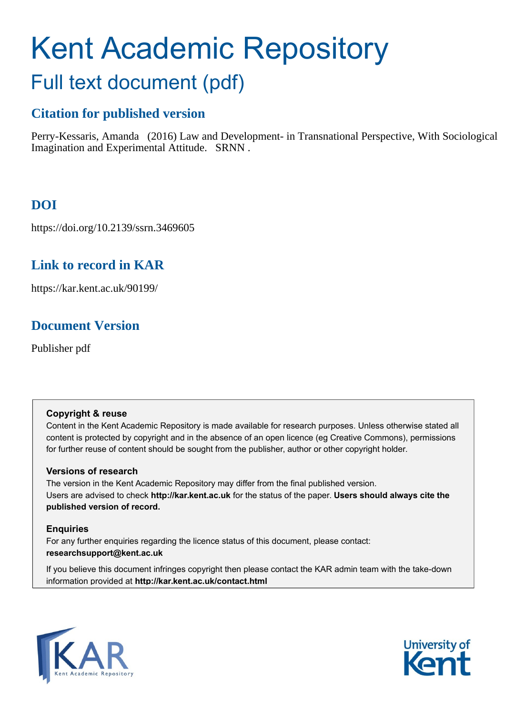# Kent Academic Repository Full text document (pdf)

# **Citation for published version**

Perry-Kessaris, Amanda (2016) Law and Development- in Transnational Perspective, With Sociological Imagination and Experimental Attitude. SRNN .

# **DOI**

https://doi.org/10.2139/ssrn.3469605

### **Link to record in KAR**

https://kar.kent.ac.uk/90199/

## **Document Version**

Publisher pdf

#### **Copyright & reuse**

Content in the Kent Academic Repository is made available for research purposes. Unless otherwise stated all content is protected by copyright and in the absence of an open licence (eg Creative Commons), permissions for further reuse of content should be sought from the publisher, author or other copyright holder.

#### **Versions of research**

The version in the Kent Academic Repository may differ from the final published version. Users are advised to check **http://kar.kent.ac.uk** for the status of the paper. **Users should always cite the published version of record.**

#### **Enquiries**

For any further enquiries regarding the licence status of this document, please contact: **researchsupport@kent.ac.uk**

If you believe this document infringes copyright then please contact the KAR admin team with the take-down information provided at **http://kar.kent.ac.uk/contact.html**



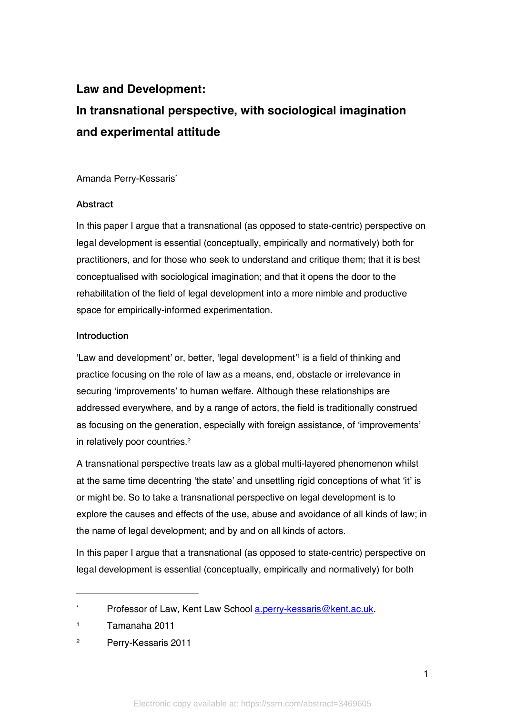# **Law and Development: In transnational perspective, with sociological imagination and experimental attitude**

Amanda Perry-Kessaris\*

#### Abstract

In this paper I argue that a transnational (as opposed to state-centric) perspective on legal development is essential (conceptually, empirically and normatively) both for practitioners, and for those who seek to understand and critique them; that it is best conceptualised with sociological imagination; and that it opens the door to the rehabilitation of the field of legal development into a more nimble and productive space for empirically-informed experimentation.

#### Introduction

'Law and development' or, better, 'legal development<sup>'1</sup> is a field of thinking and practice focusing on the role of law as a means, end, obstacle or irrelevance in securing 'improvements' to human welfare. Although these relationships are addressed everywhere, and by a range of actors, the field is traditionally construed as focusing on the generation, especially with foreign assistance, of 'improvements' in relatively poor countries. 2

A transnational perspective treats law as a global multi-layered phenomenon whilst at the same time decentring 'the state' and unsettling rigid conceptions of what 'it' is or might be. So to take a transnational perspective on legal development is to explore the causes and effects of the use, abuse and avoidance of all kinds of law; in the name of legal development; and by and on all kinds of actors.

In this paper I argue that a transnational (as opposed to state-centric) perspective on legal development is essential (conceptually, empirically and normatively) for both

<sup>\*</sup> Professor of Law, Kent Law School a.perry-kessaris@kent.ac.uk.

<sup>1</sup> Tamanaha 2011

<sup>2</sup> Perry-Kessaris 2011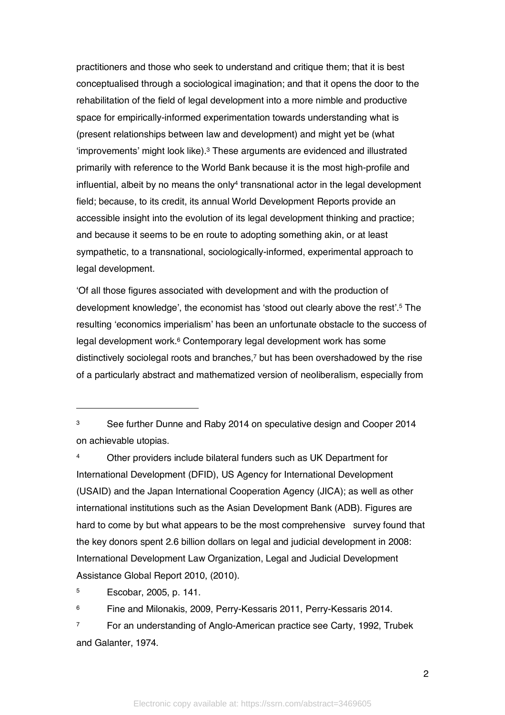practitioners and those who seek to understand and critique them; that it is best conceptualised through a sociological imagination; and that it opens the door to the rehabilitation of the field of legal development into a more nimble and productive space for empirically-informed experimentation towards understanding what is (present relationships between law and development) and might yet be (what 'improvements' might look like). <sup>3</sup> These arguments are evidenced and illustrated primarily with reference to the World Bank because it is the most high-profile and influential, albeit by no means the only<sup>4</sup> transnational actor in the legal development field; because, to its credit, its annual World Development Reports provide an accessible insight into the evolution of its legal development thinking and practice; and because it seems to be en route to adopting something akin, or at least sympathetic, to a transnational, sociologically-informed, experimental approach to legal development.

'Of all those figures associated with development and with the production of development knowledge', the economist has 'stood out clearly above the rest'. <sup>5</sup> The resulting 'economics imperialism' has been an unfortunate obstacle to the success of legal development work. <sup>6</sup> Contemporary legal development work has some distinctively sociolegal roots and branches, <sup>7</sup> but has been overshadowed by the rise of a particularly abstract and mathematized version of neoliberalism, especially from

<sup>4</sup> Other providers include bilateral funders such as UK Department for International Development (DFID), US Agency for International Development (USAID) and the Japan International Cooperation Agency (JICA); as well as other international institutions such as the Asian Development Bank (ADB). Figures are hard to come by but what appears to be the most comprehensive survey found that the key donors spent 2.6 billion dollars on legal and judicial development in 2008: International Development Law Organization, Legal and Judicial Development Assistance Global Report 2010, (2010).

<sup>5</sup> Escobar, 2005, p. 141.

 $\ddot{\phantom{a}}$ 

<sup>6</sup> Fine and Milonakis, 2009, Perry-Kessaris 2011, Perry-Kessaris 2014.

<sup>7</sup> For an understanding of Anglo-American practice see Carty, 1992, Trubek and Galanter, 1974.

<sup>&</sup>lt;sup>3</sup> See further Dunne and Raby 2014 on speculative design and Cooper 2014 on achievable utopias.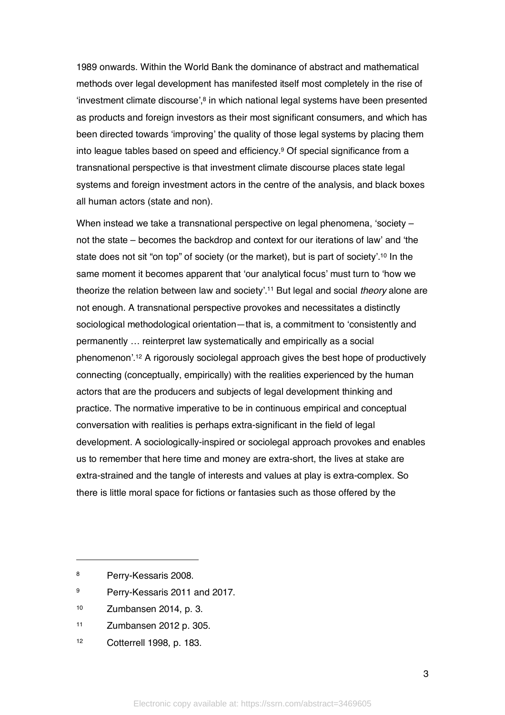1989 onwards. Within the World Bank the dominance of abstract and mathematical methods over legal development has manifested itself most completely in the rise of 'investment climate discourse',8 in which national legal systems have been presented as products and foreign investors as their most significant consumers, and which has been directed towards 'improving' the quality of those legal systems by placing them into league tables based on speed and efficiency.<sup>9</sup> Of special significance from a transnational perspective is that investment climate discourse places state legal systems and foreign investment actors in the centre of the analysis, and black boxes all human actors (state and non).

When instead we take a transnational perspective on legal phenomena, 'society – not the state – becomes the backdrop and context for our iterations of law' and 'the state does not sit "on top" of society (or the market), but is part of society'.10 In the same moment it becomes apparent that 'our analytical focus' must turn to 'how we theorize the relation between law and society'. <sup>11</sup> But legal and social *theory* alone are not enough. A transnational perspective provokes and necessitates a distinctly sociological methodological orientation—that is, a commitment to 'consistently and permanently … reinterpret law systematically and empirically as a social phenomenon'. <sup>12</sup> A rigorously sociolegal approach gives the best hope of productively connecting (conceptually, empirically) with the realities experienced by the human actors that are the producers and subjects of legal development thinking and practice. The normative imperative to be in continuous empirical and conceptual conversation with realities is perhaps extra-significant in the field of legal development. A sociologically-inspired or sociolegal approach provokes and enables us to remember that here time and money are extra-short, the lives at stake are extra-strained and the tangle of interests and values at play is extra-complex. So there is little moral space for fictions or fantasies such as those offered by the

 $\overline{a}$ 

- <sup>9</sup> Perry-Kessaris 2011 and 2017.
- <sup>10</sup> Zumbansen 2014, p. 3.
- <sup>11</sup> Zumbansen 2012 p. 305.
- <sup>12</sup> Cotterrell 1998, p. 183.

3

<sup>8</sup> Perry-Kessaris 2008.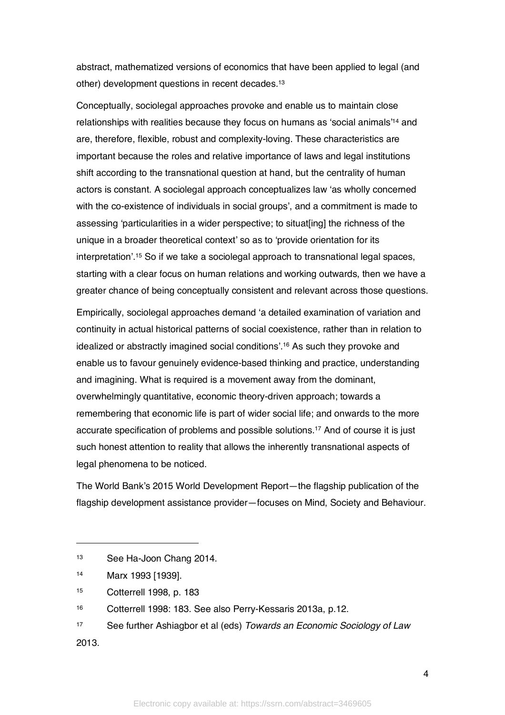abstract, mathematized versions of economics that have been applied to legal (and other) development questions in recent decades. 13

Conceptually, sociolegal approaches provoke and enable us to maintain close relationships with realities because they focus on humans as 'social animals'14 and are, therefore, flexible, robust and complexity-loving. These characteristics are important because the roles and relative importance of laws and legal institutions shift according to the transnational question at hand, but the centrality of human actors is constant. A sociolegal approach conceptualizes law 'as wholly concerned with the co-existence of individuals in social groups', and a commitment is made to assessing 'particularities in a wider perspective; to situat[ing] the richness of the unique in a broader theoretical context' so as to 'provide orientation for its interpretation'.15 So if we take a sociolegal approach to transnational legal spaces, starting with a clear focus on human relations and working outwards, then we have a greater chance of being conceptually consistent and relevant across those questions.

Empirically, sociolegal approaches demand 'a detailed examination of variation and continuity in actual historical patterns of social coexistence, rather than in relation to idealized or abstractly imagined social conditions'.16 As such they provoke and enable us to favour genuinely evidence-based thinking and practice, understanding and imagining. What is required is a movement away from the dominant, overwhelmingly quantitative, economic theory-driven approach; towards a remembering that economic life is part of wider social life; and onwards to the more accurate specification of problems and possible solutions. <sup>17</sup> And of course it is just such honest attention to reality that allows the inherently transnational aspects of legal phenomena to be noticed.

The World Bank's 2015 World Development Report—the flagship publication of the flagship development assistance provider—focuses on Mind, Society and Behaviour.

2013.

 $\ddot{\phantom{a}}$ 

<sup>13</sup> See Ha-Joon Chang 2014.

<sup>14</sup> Marx 1993 [1939].

<sup>15</sup> Cotterrell 1998, p. 183

<sup>16</sup> Cotterrell 1998: 183. See also Perry-Kessaris 2013a, p.12.

<sup>17</sup> See further Ashiagbor et al (eds) *Towards an Economic Sociology of Law*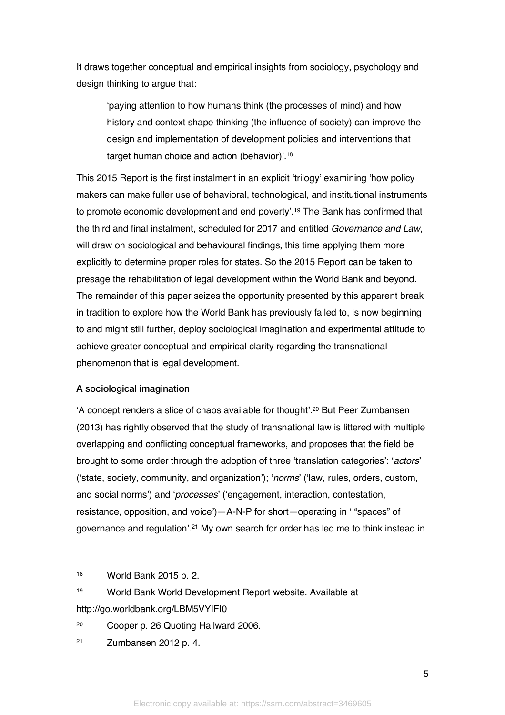It draws together conceptual and empirical insights from sociology, psychology and design thinking to argue that:

'paying attention to how humans think (the processes of mind) and how history and context shape thinking (the influence of society) can improve the design and implementation of development policies and interventions that target human choice and action (behavior)'.18

This 2015 Report is the first instalment in an explicit 'trilogy' examining 'how policy makers can make fuller use of behavioral, technological, and institutional instruments to promote economic development and end poverty'.19 The Bank has confirmed that the third and final instalment, scheduled for 2017 and entitled *Governance and Law*, will draw on sociological and behavioural findings, this time applying them more explicitly to determine proper roles for states. So the 2015 Report can be taken to presage the rehabilitation of legal development within the World Bank and beyond. The remainder of this paper seizes the opportunity presented by this apparent break in tradition to explore how the World Bank has previously failed to, is now beginning to and might still further, deploy sociological imagination and experimental attitude to achieve greater conceptual and empirical clarity regarding the transnational phenomenon that is legal development.

#### A sociological imagination

'A concept renders a slice of chaos available for thought'. <sup>20</sup> But Peer Zumbansen (2013) has rightly observed that the study of transnational law is littered with multiple overlapping and conflicting conceptual frameworks, and proposes that the field be brought to some order through the adoption of three 'translation categories': '*actors*' ('state, society, community, and organization'); '*norms*' ('law, rules, orders, custom, and social norms') and '*processes*' ('engagement, interaction, contestation, resistance, opposition, and voice')—A-N-P for short—operating in ' "spaces" of governance and regulation'.21 My own search for order has led me to think instead in

 $\overline{a}$ 

<sup>19</sup> World Bank World Development Report website. Available at

http://go.worldbank.org/LBM5VYIFI0

<sup>20</sup> Cooper p. 26 Quoting Hallward 2006.

<sup>18</sup> World Bank 2015 p. 2.

<sup>21</sup> Zumbansen 2012 p. 4.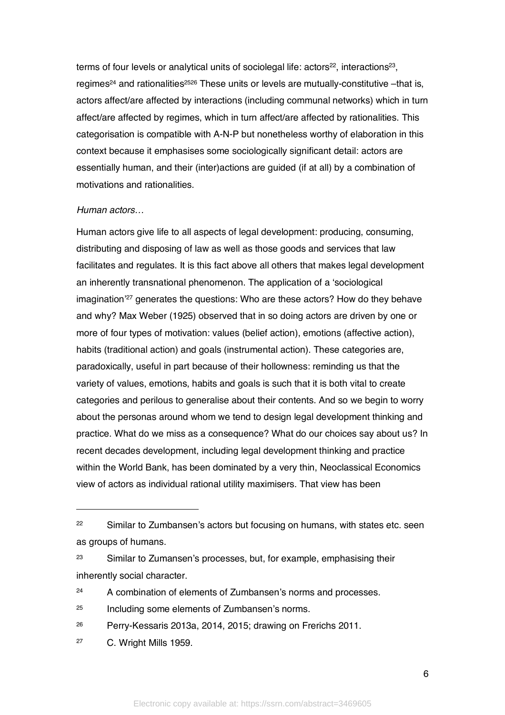terms of four levels or analytical units of sociolegal life:  $\arctan 22$ , interactions<sup>23</sup>, regimes<sup>24</sup> and rationalities<sup>2526</sup> These units or levels are mutually-constitutive  $-that$  is, actors affect/are affected by interactions (including communal networks) which in turn affect/are affected by regimes, which in turn affect/are affected by rationalities. This categorisation is compatible with A-N-P but nonetheless worthy of elaboration in this context because it emphasises some sociologically significant detail: actors are essentially human, and their (inter)actions are guided (if at all) by a combination of motivations and rationalities.

#### *Human actors…*

Human actors give life to all aspects of legal development: producing, consuming, distributing and disposing of law as well as those goods and services that law facilitates and regulates. It is this fact above all others that makes legal development an inherently transnational phenomenon. The application of a 'sociological imagination' <sup>27</sup> generates the questions: Who are these actors? How do they behave and why? Max Weber (1925) observed that in so doing actors are driven by one or more of four types of motivation: values (belief action), emotions (affective action), habits (traditional action) and goals (instrumental action). These categories are, paradoxically, useful in part because of their hollowness: reminding us that the variety of values, emotions, habits and goals is such that it is both vital to create categories and perilous to generalise about their contents. And so we begin to worry about the personas around whom we tend to design legal development thinking and practice. What do we miss as a consequence? What do our choices say about us? In recent decades development, including legal development thinking and practice within the World Bank, has been dominated by a very thin, Neoclassical Economics view of actors as individual rational utility maximisers. That view has been

<sup>27</sup> C. Wright Mills 1959.

 $\ddot{\phantom{a}}$ 

<sup>&</sup>lt;sup>22</sup> Similar to Zumbansen's actors but focusing on humans, with states etc. seen as groups of humans.

<sup>&</sup>lt;sup>23</sup> Similar to Zumansen's processes, but, for example, emphasising their inherently social character.

<sup>&</sup>lt;sup>24</sup> A combination of elements of Zumbansen's norms and processes.

<sup>25</sup> Including some elements of Zumbansen's norms.

<sup>26</sup> Perry-Kessaris 2013a, 2014, 2015; drawing on Frerichs 2011.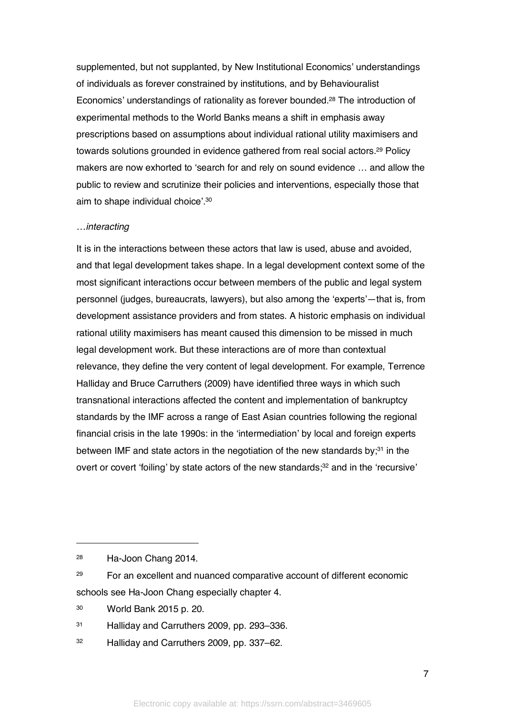supplemented, but not supplanted, by New Institutional Economics' understandings of individuals as forever constrained by institutions, and by Behaviouralist Economics' understandings of rationality as forever bounded. <sup>28</sup> The introduction of experimental methods to the World Banks means a shift in emphasis away prescriptions based on assumptions about individual rational utility maximisers and towards solutions grounded in evidence gathered from real social actors. <sup>29</sup> Policy makers are now exhorted to 'search for and rely on sound evidence … and allow the public to review and scrutinize their policies and interventions, especially those that aim to shape individual choice'.30

#### *…interacting*

It is in the interactions between these actors that law is used, abuse and avoided, and that legal development takes shape. In a legal development context some of the most significant interactions occur between members of the public and legal system personnel (judges, bureaucrats, lawyers), but also among the 'experts'—that is, from development assistance providers and from states. A historic emphasis on individual rational utility maximisers has meant caused this dimension to be missed in much legal development work. But these interactions are of more than contextual relevance, they define the very content of legal development. For example, Terrence Halliday and Bruce Carruthers (2009) have identified three ways in which such transnational interactions affected the content and implementation of bankruptcy standards by the IMF across a range of East Asian countries following the regional financial crisis in the late 1990s: in the 'intermediation' by local and foreign experts between IMF and state actors in the negotiation of the new standards by: $31$  in the overt or covert 'foiling' by state actors of the new standards;<sup>32</sup> and in the 'recursive'

 $\ddot{\phantom{a}}$ 

<sup>28</sup> Ha-Joon Chang 2014.

<sup>&</sup>lt;sup>29</sup> For an excellent and nuanced comparative account of different economic schools see Ha-Joon Chang especially chapter 4.

<sup>30</sup> World Bank 2015 p. 20.

<sup>31</sup> Halliday and Carruthers 2009, pp. 293–336.

<sup>32</sup> Halliday and Carruthers 2009, pp. 337–62.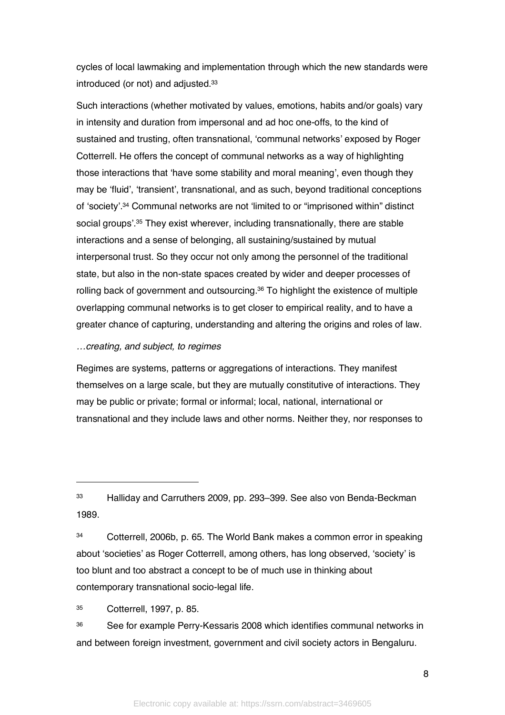cycles of local lawmaking and implementation through which the new standards were introduced (or not) and adjusted.33

Such interactions (whether motivated by values, emotions, habits and/or goals) vary in intensity and duration from impersonal and ad hoc one-offs, to the kind of sustained and trusting, often transnational, 'communal networks' exposed by Roger Cotterrell. He offers the concept of communal networks as a way of highlighting those interactions that 'have some stability and moral meaning', even though they may be 'fluid', 'transient', transnational, and as such, beyond traditional conceptions of 'society'. <sup>34</sup> Communal networks are not 'limited to or "imprisoned within" distinct social groups'. <sup>35</sup> They exist wherever, including transnationally, there are stable interactions and a sense of belonging, all sustaining/sustained by mutual interpersonal trust. So they occur not only among the personnel of the traditional state, but also in the non-state spaces created by wider and deeper processes of rolling back of government and outsourcing. <sup>36</sup> To highlight the existence of multiple overlapping communal networks is to get closer to empirical reality, and to have a greater chance of capturing, understanding and altering the origins and roles of law.

#### *…creating, and subject, to regimes*

Regimes are systems, patterns or aggregations of interactions. They manifest themselves on a large scale, but they are mutually constitutive of interactions. They may be public or private; formal or informal; local, national, international or transnational and they include laws and other norms. Neither they, nor responses to

<sup>33</sup> Halliday and Carruthers 2009, pp. 293–399. See also von Benda-Beckman 1989.

<sup>34</sup> Cotterrell, 2006b, p. 65. The World Bank makes a common error in speaking about 'societies' as Roger Cotterrell, among others, has long observed, 'society' is too blunt and too abstract a concept to be of much use in thinking about contemporary transnational socio-legal life.

<sup>35</sup> Cotterrell, 1997, p. 85.

<sup>36</sup> See for example Perry-Kessaris 2008 which identifies communal networks in and between foreign investment, government and civil society actors in Bengaluru.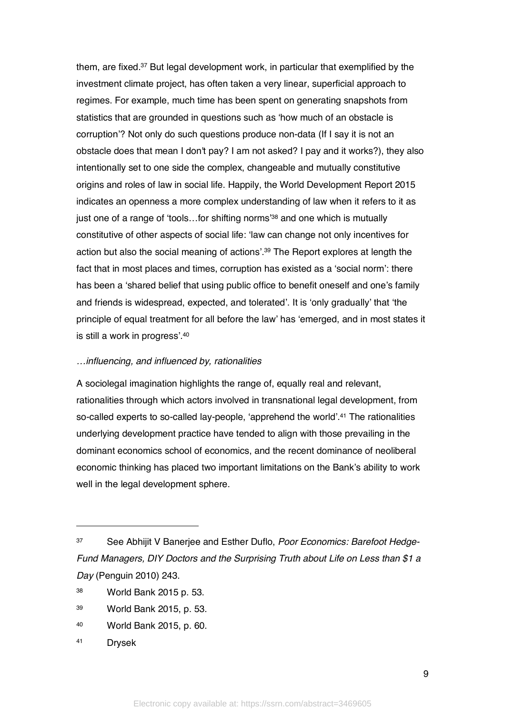them, are fixed.37 But legal development work, in particular that exemplified by the investment climate project, has often taken a very linear, superficial approach to regimes. For example, much time has been spent on generating snapshots from statistics that are grounded in questions such as 'how much of an obstacle is corruption'? Not only do such questions produce non-data (If I say it is not an obstacle does that mean I don't pay? I am not asked? I pay and it works?), they also intentionally set to one side the complex, changeable and mutually constitutive origins and roles of law in social life. Happily, the World Development Report 2015 indicates an openness a more complex understanding of law when it refers to it as just one of a range of 'tools...for shifting norms<sup>38</sup> and one which is mutually constitutive of other aspects of social life: 'law can change not only incentives for action but also the social meaning of actions'. <sup>39</sup> The Report explores at length the fact that in most places and times, corruption has existed as a 'social norm': there has been a 'shared belief that using public office to benefit oneself and one's family and friends is widespread, expected, and tolerated'. It is 'only gradually' that 'the principle of equal treatment for all before the law' has 'emerged, and in most states it is still a work in progress'.40

#### *…influencing, and influenced by, rationalities*

A sociolegal imagination highlights the range of, equally real and relevant, rationalities through which actors involved in transnational legal development, from so-called experts to so-called lay-people, 'apprehend the world'.41 The rationalities underlying development practice have tended to align with those prevailing in the dominant economics school of economics, and the recent dominance of neoliberal economic thinking has placed two important limitations on the Bank's ability to work well in the legal development sphere.

- <sup>38</sup> World Bank 2015 p. 53.
- <sup>39</sup> World Bank 2015, p. 53.
- <sup>40</sup> World Bank 2015, p. 60.
- <sup>41</sup> Drysek

<sup>37</sup> See Abhijit V Banerjee and Esther Duflo, *Poor Economics: Barefoot Hedge-Fund Managers, DIY Doctors and the Surprising Truth about Life on Less than \$1 a Day* (Penguin 2010) 243.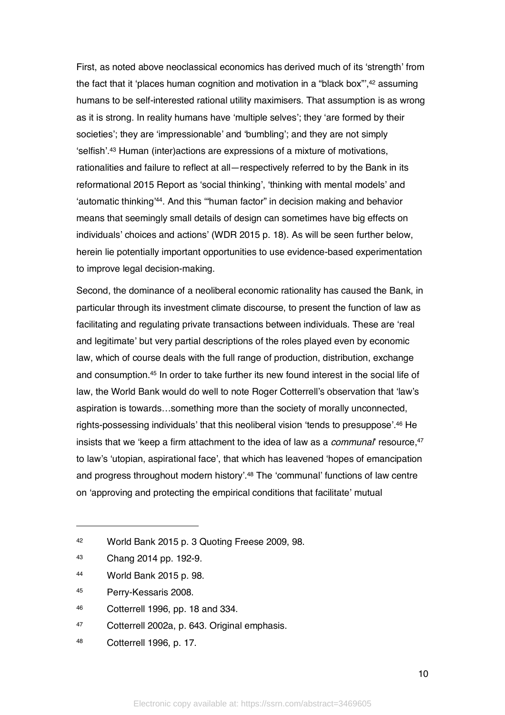First, as noted above neoclassical economics has derived much of its 'strength' from the fact that it 'places human cognition and motivation in a "black box",<sup>42</sup> assuming humans to be self-interested rational utility maximisers. That assumption is as wrong as it is strong. In reality humans have 'multiple selves'; they 'are formed by their societies'; they are 'impressionable' and 'bumbling'; and they are not simply 'selfish'.43 Human (inter)actions are expressions of a mixture of motivations, rationalities and failure to reflect at all—respectively referred to by the Bank in its reformational 2015 Report as 'social thinking', 'thinking with mental models' and 'automatic thinking'44. And this '"human factor" in decision making and behavior means that seemingly small details of design can sometimes have big effects on individuals' choices and actions' (WDR 2015 p. 18). As will be seen further below, herein lie potentially important opportunities to use evidence-based experimentation to improve legal decision-making.

Second, the dominance of a neoliberal economic rationality has caused the Bank, in particular through its investment climate discourse, to present the function of law as facilitating and regulating private transactions between individuals. These are 'real and legitimate' but very partial descriptions of the roles played even by economic law, which of course deals with the full range of production, distribution, exchange and consumption.45 In order to take further its new found interest in the social life of law, the World Bank would do well to note Roger Cotterrell's observation that 'law's aspiration is towards…something more than the society of morally unconnected, rights-possessing individuals' that this neoliberal vision 'tends to presuppose'.46 He insists that we 'keep a firm attachment to the idea of law as a *communal*' resource.<sup>47</sup> to law's 'utopian, aspirational face', that which has leavened 'hopes of emancipation and progress throughout modern history'.48 The 'communal' functions of law centre on 'approving and protecting the empirical conditions that facilitate' mutual

 $\overline{a}$ 

<sup>48</sup> Cotterrell 1996, p. 17.

10

<sup>42</sup> World Bank 2015 p. 3 Quoting Freese 2009, 98.

<sup>43</sup> Chang 2014 pp. 192-9.

<sup>44</sup> World Bank 2015 p. 98.

<sup>45</sup> Perry-Kessaris 2008.

<sup>46</sup> Cotterrell 1996, pp. 18 and 334.

<sup>47</sup> Cotterrell 2002a, p. 643. Original emphasis.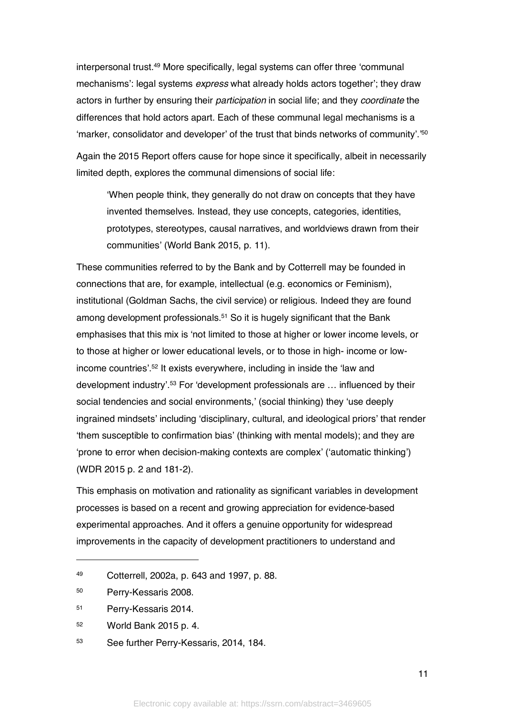interpersonal trust.49 More specifically, legal systems can offer three 'communal mechanisms': legal systems *express* what already holds actors together'; they draw actors in further by ensuring their *participation* in social life; and they *coordinate* the differences that hold actors apart. Each of these communal legal mechanisms is a 'marker, consolidator and developer' of the trust that binds networks of community'.'50 Again the 2015 Report offers cause for hope since it specifically, albeit in necessarily limited depth, explores the communal dimensions of social life:

'When people think, they generally do not draw on concepts that they have invented themselves. Instead, they use concepts, categories, identities, prototypes, stereotypes, causal narratives, and worldviews drawn from their communities' (World Bank 2015, p. 11).

These communities referred to by the Bank and by Cotterrell may be founded in connections that are, for example, intellectual (e.g. economics or Feminism), institutional (Goldman Sachs, the civil service) or religious. Indeed they are found among development professionals.51 So it is hugely significant that the Bank emphasises that this mix is 'not limited to those at higher or lower income levels, or to those at higher or lower educational levels, or to those in high- income or lowincome countries'.52 It exists everywhere, including in inside the 'law and development industry'.53 For 'development professionals are … influenced by their social tendencies and social environments,' (social thinking) they 'use deeply ingrained mindsets' including 'disciplinary, cultural, and ideological priors' that render 'them susceptible to confirmation bias' (thinking with mental models); and they are 'prone to error when decision-making contexts are complex' ('automatic thinking') (WDR 2015 p. 2 and 181-2).

This emphasis on motivation and rationality as significant variables in development processes is based on a recent and growing appreciation for evidence-based experimental approaches. And it offers a genuine opportunity for widespread improvements in the capacity of development practitioners to understand and

 $\overline{a}$ 

11

<sup>49</sup> Cotterrell, 2002a, p. 643 and 1997, p. 88.

<sup>50</sup> Perry-Kessaris 2008.

<sup>51</sup> Perry-Kessaris 2014.

<sup>52</sup> World Bank 2015 p. 4.

<sup>53</sup> See further Perry-Kessaris, 2014, 184.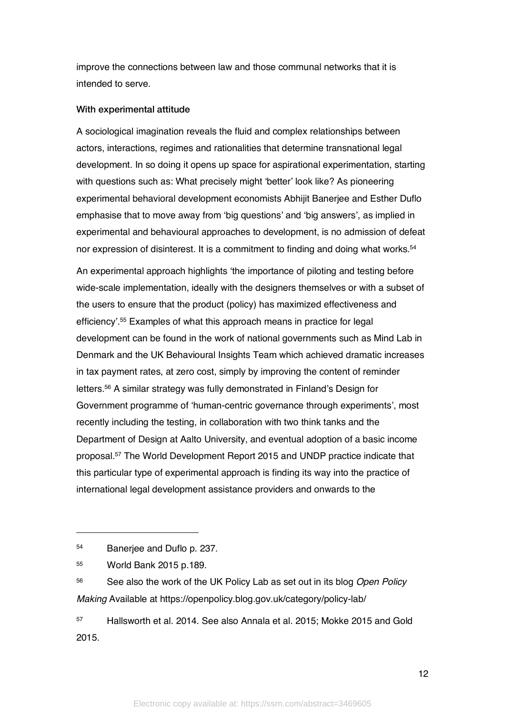improve the connections between law and those communal networks that it is intended to serve.

#### With experimental attitude

A sociological imagination reveals the fluid and complex relationships between actors, interactions, regimes and rationalities that determine transnational legal development. In so doing it opens up space for aspirational experimentation, starting with questions such as: What precisely might 'better' look like? As pioneering experimental behavioral development economists Abhijit Banerjee and Esther Duflo emphasise that to move away from 'big questions' and 'big answers', as implied in experimental and behavioural approaches to development, is no admission of defeat nor expression of disinterest. It is a commitment to finding and doing what works.<sup>54</sup>

An experimental approach highlights 'the importance of piloting and testing before wide-scale implementation, ideally with the designers themselves or with a subset of the users to ensure that the product (policy) has maximized effectiveness and efficiency'.55 Examples of what this approach means in practice for legal development can be found in the work of national governments such as Mind Lab in Denmark and the UK Behavioural Insights Team which achieved dramatic increases in tax payment rates, at zero cost, simply by improving the content of reminder letters.56 A similar strategy was fully demonstrated in Finland's Design for Government programme of 'human-centric governance through experiments', most recently including the testing, in collaboration with two think tanks and the Department of Design at Aalto University, and eventual adoption of a basic income proposal.57 The World Development Report 2015 and UNDP practice indicate that this particular type of experimental approach is finding its way into the practice of international legal development assistance providers and onwards to the

 $\overline{a}$ 

<sup>56</sup> See also the work of the UK Policy Lab as set out in its blog *Open Policy Making* Available at https://openpolicy.blog.gov.uk/category/policy-lab/

<sup>57</sup> Hallsworth et al. 2014. See also Annala et al. 2015; Mokke 2015 and Gold 2015.

<sup>54</sup> Banerjee and Duflo p. 237.

<sup>55</sup> World Bank 2015 p.189.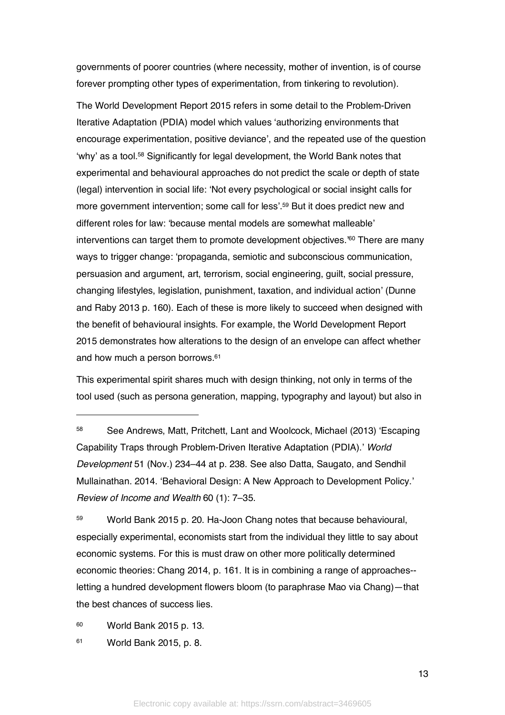governments of poorer countries (where necessity, mother of invention, is of course forever prompting other types of experimentation, from tinkering to revolution).

The World Development Report 2015 refers in some detail to the Problem-Driven Iterative Adaptation (PDIA) model which values 'authorizing environments that encourage experimentation, positive deviance', and the repeated use of the question 'why' as a tool.58 Significantly for legal development, the World Bank notes that experimental and behavioural approaches do not predict the scale or depth of state (legal) intervention in social life: 'Not every psychological or social insight calls for more government intervention; some call for less'.<sup>59</sup> But it does predict new and different roles for law: 'because mental models are somewhat malleable' interventions can target them to promote development objectives.'60 There are many ways to trigger change: 'propaganda, semiotic and subconscious communication, persuasion and argument, art, terrorism, social engineering, guilt, social pressure, changing lifestyles, legislation, punishment, taxation, and individual action' (Dunne and Raby 2013 p. 160). Each of these is more likely to succeed when designed with the benefit of behavioural insights. For example, the World Development Report 2015 demonstrates how alterations to the design of an envelope can affect whether and how much a person borrows. 61

This experimental spirit shares much with design thinking, not only in terms of the tool used (such as persona generation, mapping, typography and layout) but also in

<sup>59</sup> World Bank 2015 p. 20. Ha-Joon Chang notes that because behavioural, especially experimental, economists start from the individual they little to say about economic systems. For this is must draw on other more politically determined economic theories: Chang 2014, p. 161. It is in combining a range of approaches- letting a hundred development flowers bloom (to paraphrase Mao via Chang)—that the best chances of success lies.

<sup>60</sup> World Bank 2015 p. 13.

 $\overline{a}$ 

<sup>61</sup> World Bank 2015, p. 8.

<sup>58</sup> See Andrews, Matt, Pritchett, Lant and Woolcock, Michael (2013) 'Escaping Capability Traps through Problem-Driven Iterative Adaptation (PDIA).' *World Development* 51 (Nov.) 234–44 at p. 238. See also Datta, Saugato, and Sendhil Mullainathan. 2014. 'Behavioral Design: A New Approach to Development Policy.' *Review of Income and Wealth* 60 (1): 7–35.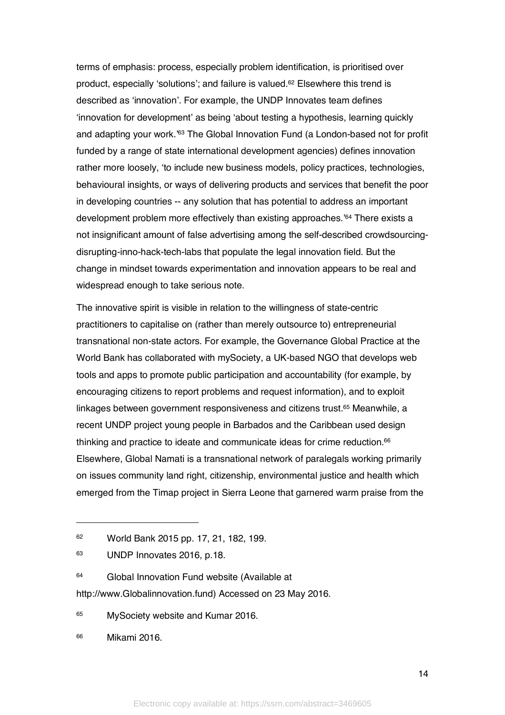terms of emphasis: process, especially problem identification, is prioritised over product, especially 'solutions'; and failure is valued.62 Elsewhere this trend is described as 'innovation'. For example, the UNDP Innovates team defines 'innovation for development' as being 'about testing a hypothesis, learning quickly and adapting your work.<sup>'63</sup> The Global Innovation Fund (a London-based not for profit funded by a range of state international development agencies) defines innovation rather more loosely, 'to include new business models, policy practices, technologies, behavioural insights, or ways of delivering products and services that benefit the poor in developing countries -- any solution that has potential to address an important development problem more effectively than existing approaches.'64 There exists a not insignificant amount of false advertising among the self-described crowdsourcingdisrupting-inno-hack-tech-labs that populate the legal innovation field. But the change in mindset towards experimentation and innovation appears to be real and widespread enough to take serious note.

The innovative spirit is visible in relation to the willingness of state-centric practitioners to capitalise on (rather than merely outsource to) entrepreneurial transnational non-state actors. For example, the Governance Global Practice at the World Bank has collaborated with mySociety, a UK-based NGO that develops web tools and apps to promote public participation and accountability (for example, by encouraging citizens to report problems and request information), and to exploit linkages between government responsiveness and citizens trust.65 Meanwhile, a recent UNDP project young people in Barbados and the Caribbean used design thinking and practice to ideate and communicate ideas for crime reduction.<sup>66</sup> Elsewhere, Global Namati is a transnational network of paralegals working primarily on issues community land right, citizenship, environmental justice and health which emerged from the Timap project in Sierra Leone that garnered warm praise from the

http://www.Globalinnovation.fund) Accessed on 23 May 2016.

<sup>65</sup> MySociety website and Kumar 2016.

<sup>62</sup> World Bank 2015 pp. 17, 21, 182, 199.

<sup>63</sup> UNDP Innovates 2016, p.18.

<sup>64</sup> Global Innovation Fund website (Available at

<sup>66</sup> Mikami 2016.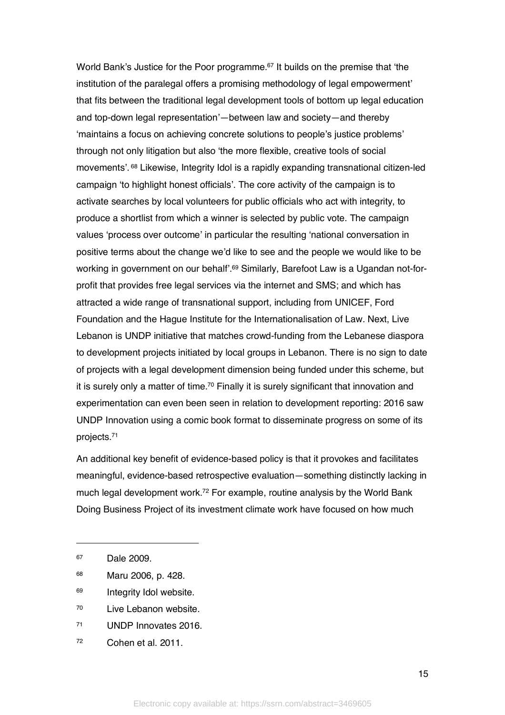World Bank's Justice for the Poor programme. <sup>67</sup> It builds on the premise that 'the institution of the paralegal offers a promising methodology of legal empowerment' that fits between the traditional legal development tools of bottom up legal education and top-down legal representation'—between law and society—and thereby 'maintains a focus on achieving concrete solutions to people's justice problems' through not only litigation but also 'the more flexible, creative tools of social movements'. <sup>68</sup> Likewise, Integrity Idol is a rapidly expanding transnational citizen-led campaign 'to highlight honest officials'. The core activity of the campaign is to activate searches by local volunteers for public officials who act with integrity, to produce a shortlist from which a winner is selected by public vote. The campaign values 'process over outcome' in particular the resulting 'national conversation in positive terms about the change we'd like to see and the people we would like to be working in government on our behalf'.<sup>69</sup> Similarly, Barefoot Law is a Ugandan not-forprofit that provides free legal services via the internet and SMS; and which has attracted a wide range of transnational support, including from UNICEF, Ford Foundation and the Hague Institute for the Internationalisation of Law. Next, Live Lebanon is UNDP initiative that matches crowd-funding from the Lebanese diaspora to development projects initiated by local groups in Lebanon. There is no sign to date of projects with a legal development dimension being funded under this scheme, but it is surely only a matter of time.<sup>70</sup> Finally it is surely significant that innovation and experimentation can even been seen in relation to development reporting: 2016 saw UNDP Innovation using a comic book format to disseminate progress on some of its projects.71

An additional key benefit of evidence-based policy is that it provokes and facilitates meaningful, evidence-based retrospective evaluation—something distinctly lacking in much legal development work.72 For example, routine analysis by the World Bank Doing Business Project of its investment climate work have focused on how much

- <sup>69</sup> Integrity Idol website.
- <sup>70</sup> Live Lebanon website.
- <sup>71</sup> UNDP Innovates 2016.
- <sup>72</sup> Cohen et al. 2011.

<sup>67</sup> Dale 2009.

<sup>68</sup> Maru 2006, p. 428.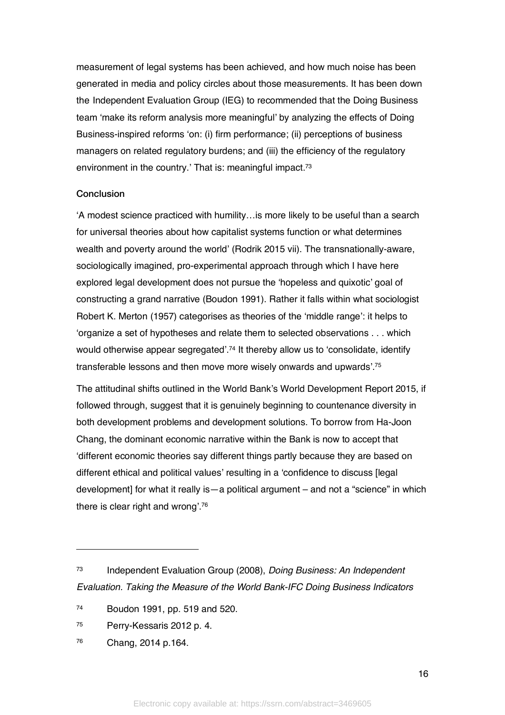measurement of legal systems has been achieved, and how much noise has been generated in media and policy circles about those measurements. It has been down the Independent Evaluation Group (IEG) to recommended that the Doing Business team 'make its reform analysis more meaningful' by analyzing the effects of Doing Business-inspired reforms 'on: (i) firm performance; (ii) perceptions of business managers on related regulatory burdens; and (iii) the efficiency of the regulatory environment in the country.' That is: meaningful impact.<sup>73</sup>

#### **Conclusion**

'A modest science practiced with humility…is more likely to be useful than a search for universal theories about how capitalist systems function or what determines wealth and poverty around the world' (Rodrik 2015 vii). The transnationally-aware, sociologically imagined, pro-experimental approach through which I have here explored legal development does not pursue the 'hopeless and quixotic' goal of constructing a grand narrative (Boudon 1991). Rather it falls within what sociologist Robert K. Merton (1957) categorises as theories of the 'middle range': it helps to 'organize a set of hypotheses and relate them to selected observations . . . which would otherwise appear segregated'.74 It thereby allow us to 'consolidate, identify transferable lessons and then move more wisely onwards and upwards'.75

The attitudinal shifts outlined in the World Bank's World Development Report 2015, if followed through, suggest that it is genuinely beginning to countenance diversity in both development problems and development solutions. To borrow from Ha-Joon Chang, the dominant economic narrative within the Bank is now to accept that 'different economic theories say different things partly because they are based on different ethical and political values' resulting in a 'confidence to discuss [legal development] for what it really is—a political argument – and not a "science" in which there is clear right and wrong'.76

- <sup>75</sup> Perry-Kessaris 2012 p. 4.
- <sup>76</sup> Chang, 2014 p.164.

<sup>73</sup> Independent Evaluation Group (2008), *Doing Business: An Independent Evaluation. Taking the Measure of the World Bank-IFC Doing Business Indicators*

<sup>74</sup> Boudon 1991, pp. 519 and 520.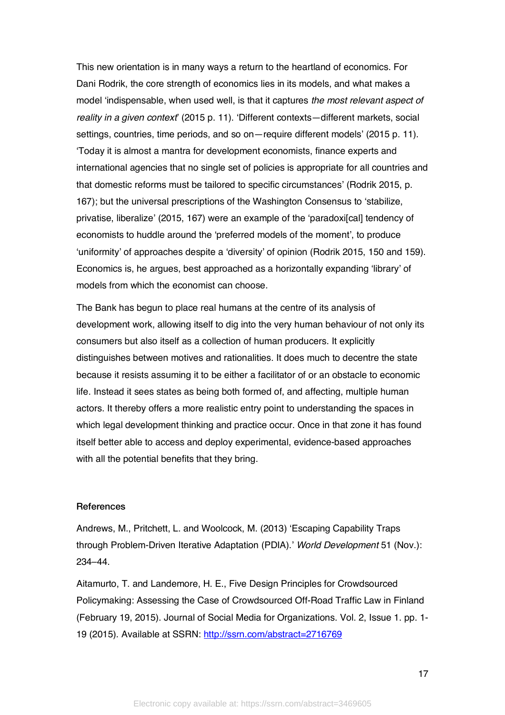This new orientation is in many ways a return to the heartland of economics. For Dani Rodrik, the core strength of economics lies in its models, and what makes a model 'indispensable, when used well, is that it captures *the most relevant aspect of reality in a given context*' (2015 p. 11). 'Different contexts—different markets, social settings, countries, time periods, and so on—require different models' (2015 p. 11). 'Today it is almost a mantra for development economists, finance experts and international agencies that no single set of policies is appropriate for all countries and that domestic reforms must be tailored to specific circumstances' (Rodrik 2015, p. 167); but the universal prescriptions of the Washington Consensus to 'stabilize, privatise, liberalize' (2015, 167) were an example of the 'paradoxi[cal] tendency of economists to huddle around the 'preferred models of the moment', to produce 'uniformity' of approaches despite a 'diversity' of opinion (Rodrik 2015, 150 and 159). Economics is, he argues, best approached as a horizontally expanding 'library' of models from which the economist can choose.

The Bank has begun to place real humans at the centre of its analysis of development work, allowing itself to dig into the very human behaviour of not only its consumers but also itself as a collection of human producers. It explicitly distinguishes between motives and rationalities. It does much to decentre the state because it resists assuming it to be either a facilitator of or an obstacle to economic life. Instead it sees states as being both formed of, and affecting, multiple human actors. It thereby offers a more realistic entry point to understanding the spaces in which legal development thinking and practice occur. Once in that zone it has found itself better able to access and deploy experimental, evidence-based approaches with all the potential benefits that they bring.

#### **References**

Andrews, M., Pritchett, L. and Woolcock, M. (2013) 'Escaping Capability Traps through Problem-Driven Iterative Adaptation (PDIA).' *World Development* 51 (Nov.): 234–44.

Aitamurto, T. and Landemore, H. E., Five Design Principles for Crowdsourced Policymaking: Assessing the Case of Crowdsourced Off-Road Traffic Law in Finland (February 19, 2015). Journal of Social Media for Organizations. Vol. 2, Issue 1. pp. 1- 19 (2015). Available at SSRN: http://ssrn.com/abstract=2716769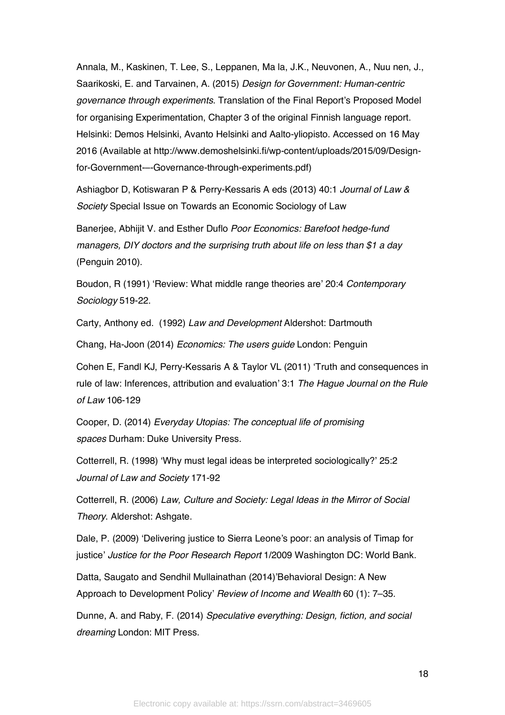Annala, M., Kaskinen, T. Lee, S., Leppanen, Ma la, J.K., Neuvonen, A., Nuu nen, J., Saarikoski, E. and Tarvainen, A. (2015) *Design for Government: Human-centric governance through experiments*. Translation of the Final Report's Proposed Model for organising Experimentation, Chapter 3 of the original Finnish language report. Helsinki: Demos Helsinki, Avanto Helsinki and Aalto-yliopisto. Accessed on 16 May 2016 (Available at http://www.demoshelsinki.fi/wp-content/uploads/2015/09/Designfor-Government-–-Governance-through-experiments.pdf)

Ashiagbor D, Kotiswaran P & Perry-Kessaris A eds (2013) 40:1 *Journal of Law & Society* Special Issue on Towards an Economic Sociology of Law

Banerjee, Abhijit V. and Esther Duflo *Poor Economics: Barefoot hedge-fund managers, DIY doctors and the surprising truth about life on less than \$1 a day* (Penguin 2010).

Boudon, R (1991) 'Review: What middle range theories are' 20:4 *Contemporary Sociology* 519-22.

Carty, Anthony ed. (1992) *Law and Development* Aldershot: Dartmouth

Chang, Ha-Joon (2014) *Economics: The users guide* London: Penguin

Cohen E, Fandl KJ, Perry-Kessaris A & Taylor VL (2011) 'Truth and consequences in rule of law: Inferences, attribution and evaluation' 3:1 *The Hague Journal on the Rule of Law* 106-129

Cooper, D. (2014) *Everyday Utopias: The conceptual life of promising spaces* Durham: Duke University Press.

Cotterrell, R. (1998) 'Why must legal ideas be interpreted sociologically?' 25:2 *Journal of Law and Society* 171-92

Cotterrell, R. (2006) *Law, Culture and Society: Legal Ideas in the Mirror of Social Theory*. Aldershot: Ashgate.

Dale, P. (2009) 'Delivering justice to Sierra Leone's poor: an analysis of Timap for justice' *Justice for the Poor Research Report* 1/2009 Washington DC: World Bank.

Datta, Saugato and Sendhil Mullainathan (2014)'Behavioral Design: A New Approach to Development Policy' *Review of Income and Wealth* 60 (1): 7–35.

Dunne, A. and Raby, F. (2014) *Speculative everything: Design, fiction, and social dreaming* London: MIT Press.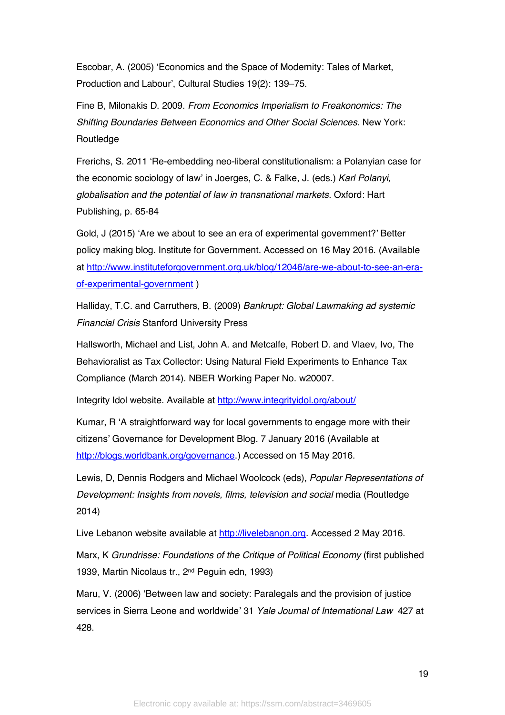Escobar, A. (2005) 'Economics and the Space of Modernity: Tales of Market, Production and Labour', Cultural Studies 19(2): 139–75.

Fine B, Milonakis D. 2009. *From Economics Imperialism to Freakonomics: The Shifting Boundaries Between Economics and Other Social Sciences*. New York: Routledge

Frerichs, S. 2011 'Re-embedding neo-liberal constitutionalism: a Polanyian case for the economic sociology of law' in Joerges, C. & Falke, J. (eds.) *Karl Polanyi, globalisation and the potential of law in transnational markets.* Oxford: Hart Publishing, p. 65-84

Gold, J (2015) 'Are we about to see an era of experimental government?' Better policy making blog. Institute for Government. Accessed on 16 May 2016. (Available at http://www.instituteforgovernment.org.uk/blog/12046/are-we-about-to-see-an-eraof-experimental-government )

Halliday, T.C. and Carruthers, B. (2009) *Bankrupt: Global Lawmaking ad systemic Financial Crisis* Stanford University Press

Hallsworth, Michael and List, John A. and Metcalfe, Robert D. and Vlaev, Ivo, The Behavioralist as Tax Collector: Using Natural Field Experiments to Enhance Tax Compliance (March 2014). NBER Working Paper No. w20007.

Integrity Idol website. Available at http://www.integrityidol.org/about/

Kumar, R 'A straightforward way for local governments to engage more with their citizens' Governance for Development Blog. 7 January 2016 (Available at http://blogs.worldbank.org/governance.) Accessed on 15 May 2016.

Lewis, D, Dennis Rodgers and Michael Woolcock (eds), *Popular Representations of Development: Insights from novels, films, television and social media (Routledge*) 2014)

Live Lebanon website available at http://livelebanon.org. Accessed 2 May 2016.

Marx, K *Grundrisse: Foundations of the Critique of Political Economy* (first published 1939, Martin Nicolaus tr., 2nd Peguin edn, 1993)

Maru, V. (2006) 'Between law and society: Paralegals and the provision of justice services in Sierra Leone and worldwide' 31 *Yale Journal of International Law* 427 at 428.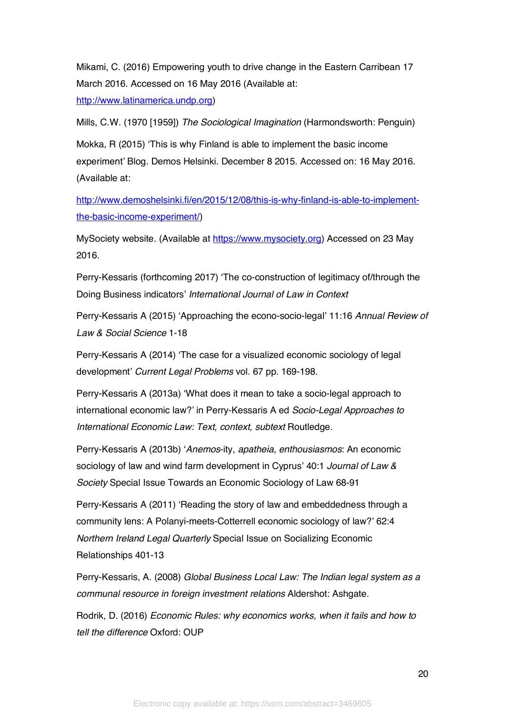Mikami, C. (2016) Empowering youth to drive change in the Eastern Carribean 17 March 2016. Accessed on 16 May 2016 (Available at: http://www.latinamerica.undp.org)

Mills, C.W. (1970 [1959]) *The Sociological Imagination* (Harmondsworth: Penguin)

Mokka, R (2015) 'This is why Finland is able to implement the basic income experiment' Blog. Demos Helsinki. December 8 2015. Accessed on: 16 May 2016. (Available at:

http://www.demoshelsinki.fi/en/2015/12/08/this-is-why-finland-is-able-to-implementthe-basic-income-experiment/)

MySociety website. (Available at https://www.mysociety.org) Accessed on 23 May 2016.

Perry-Kessaris (forthcoming 2017) 'The co-construction of legitimacy of/through the Doing Business indicators' *International Journal of Law in Context*

Perry-Kessaris A (2015) 'Approaching the econo-socio-legal' 11:16 *Annual Review of Law & Social Science* 1-18

Perry-Kessaris A (2014) 'The case for a visualized economic sociology of legal development' *Current Legal Problems* vol. 67 pp. 169-198.

Perry-Kessaris A (2013a) 'What does it mean to take a socio-legal approach to international economic law?' in Perry-Kessaris A ed *Socio-Legal Approaches to International Economic Law: Text, context, subtext* Routledge.

Perry-Kessaris A (2013b) '*Anemos*-ity, *apatheia*, *enthousiasmos*: An economic sociology of law and wind farm development in Cyprus' 40:1 *Journal of Law & Society* Special Issue Towards an Economic Sociology of Law 68-91

Perry-Kessaris A (2011) 'Reading the story of law and embeddedness through a community lens: A Polanyi-meets-Cotterrell economic sociology of law?' 62:4 *Northern Ireland Legal Quarterly* Special Issue on Socializing Economic Relationships 401-13

Perry-Kessaris, A. (2008) *Global Business Local Law: The Indian legal system as a communal resource in foreign investment relations* Aldershot: Ashgate.

Rodrik, D. (2016) *Economic Rules: why economics works, when it fails and how to tell the difference* Oxford: OUP